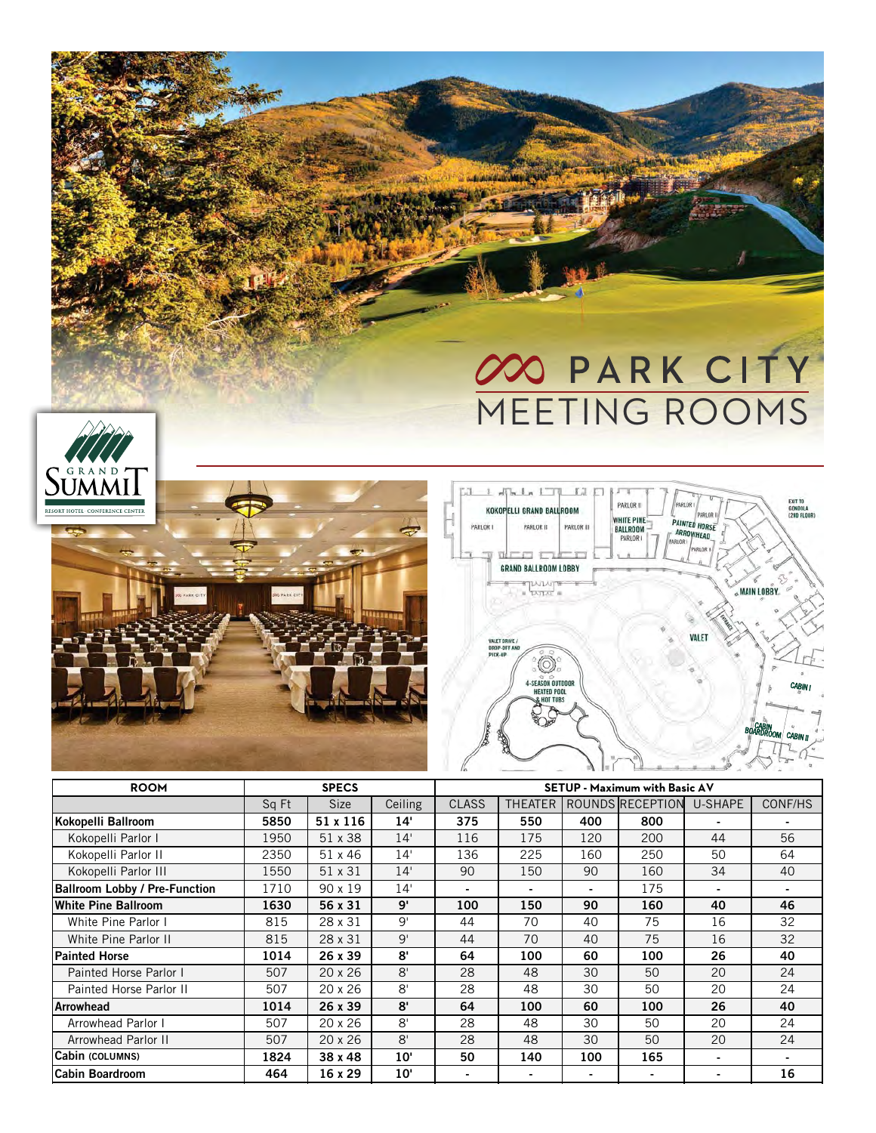## 00 PARK CITY MEETING ROOMS

**ANGER** 







| <b>ROOM</b>                          | <b>SPECS</b> |                |              | <b>SETUP - Maximum with Basic AV</b> |                |     |                  |         |                |  |
|--------------------------------------|--------------|----------------|--------------|--------------------------------------|----------------|-----|------------------|---------|----------------|--|
|                                      | Sq Ft        | <b>Size</b>    | Ceiling      | <b>CLASS</b>                         | <b>THEATER</b> |     | ROUNDS RECEPTION | U-SHAPE | CONF/HS        |  |
| Kokopelli Ballroom                   | 5850         | 51 x 116       | 14'          | 375                                  | 550            | 400 | 800              |         |                |  |
| Kokopelli Parlor I                   | 1950         | 51 x 38        | 14'          | 116                                  | 175            | 120 | 200              | 44      | 56             |  |
| Kokopelli Parlor II                  | 2350         | 51 x 46        | 14'          | 136                                  | 225            | 160 | 250              | 50      | 64             |  |
| Kokopelli Parlor III                 | 1550         | 51 x 31        | 14'          | 90                                   | 150            | 90  | 160              | 34      | 40             |  |
| <b>Ballroom Lobby / Pre-Function</b> | 1710         | 90 x 19        | 14'          |                                      |                |     | 175              |         |                |  |
| White Pine Ballroom                  | 1630         | 56 x 31        | 9'           | 100                                  | 150            | 90  | 160              | 40      | 46             |  |
| White Pine Parlor I                  | 815          | 28 x 31        | 9'           | 44                                   | 70             | 40  | 75               | 16      | 32             |  |
| White Pine Parlor II                 | 815          | 28 x 31        | 9'           | 44                                   | 70             | 40  | 75               | 16      | 32             |  |
| <b>Painted Horse</b>                 | 1014         | 26 x 39        | 8'           | 64                                   | 100            | 60  | 100              | 26      | 40             |  |
| Painted Horse Parlor I               | 507          | $20 \times 26$ | 8'           | 28                                   | 48             | 30  | 50               | 20      | 24             |  |
| Painted Horse Parlor II              | 507          | $20 \times 26$ | 8'           | 28                                   | 48             | 30  | 50               | 20      | 24             |  |
| <b>Arrowhead</b>                     | 1014         | 26 x 39        | 8'           | 64                                   | 100            | 60  | 100              | 26      | 40             |  |
| Arrowhead Parlor I                   | 507          | $20 \times 26$ | 8'           | 28                                   | 48             | 30  | 50               | 20      | 24             |  |
| Arrowhead Parlor II                  | 507          | 20 x 26        | 8'           | 28                                   | 48             | 30  | 50               | 20      | 24             |  |
| Cabin (COLUMNS)                      | 1824         | 38 x 48        | $10^{\circ}$ | 50                                   | 140            | 100 | 165              |         | $\blacksquare$ |  |
| <b>Cabin Boardroom</b>               | 464          | 16 x 29        | 10'          | $\blacksquare$                       | $\blacksquare$ |     | $\blacksquare$   |         | 16             |  |